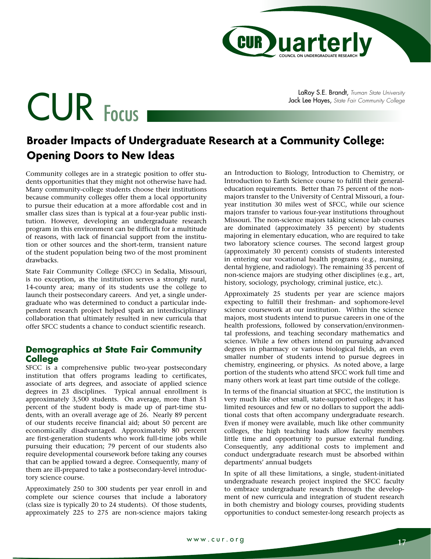

# CUR Focus

LaRoy S.E. Brandt, *Truman State University*  Jack Lee Hayes, *State Fair Community College*

# **Broader Impacts of Undergraduate Research at a Community College: Opening Doors to New Ideas**

Community colleges are in a strategic position to offer students opportunities that they might not otherwise have had. Many community-college students choose their institutions because community colleges offer them a local opportunity to pursue their education at a more affordable cost and in smaller class sizes than is typical at a four-year public institution. However, developing an undergraduate research program in this environment can be difficult for a multitude of reasons, with lack of financial support from the institution or other sources and the short-term, transient nature of the student population being two of the most prominent drawbacks.

State Fair Community College (SFCC) in Sedalia, Missouri, is no exception, as the institution serves a strongly rural, 14-county area; many of its students use the college to launch their postsecondary careers. And yet, a single undergraduate who was determined to conduct a particular independent research project helped spark an interdisciplinary collaboration that ultimately resulted in new curricula that offer SFCC students a chance to conduct scientific research.

### **Demographics at State Fair Community College**

SFCC is a comprehensive public two-year postsecondary institution that offers programs leading to certificates, associate of arts degrees, and associate of applied science degrees in 23 disciplines. Typical annual enrollment is approximately 3,500 students. On average, more than 51 percent of the student body is made up of part-time students, with an overall average age of 26. Nearly 89 percent of our students receive financial aid; about 50 percent are economically disadvantaged. Approximately 80 percent are first-generation students who work full-time jobs while pursuing their education; 79 percent of our students also require developmental coursework before taking any courses that can be applied toward a degree. Consequently, many of them are ill-prepared to take a postsecondary-level introductory science course.

Approximately 250 to 300 students per year enroll in and complete our science courses that include a laboratory (class size is typically 20 to 24 students). Of those students, approximately 225 to 275 are non-science majors taking an Introduction to Biology, Introduction to Chemistry, or Introduction to Earth Science course to fulfill their generaleducation requirements. Better than 75 percent of the nonmajors transfer to the University of Central Missouri, a fouryear institution 30 miles west of SFCC, while our science majors transfer to various four-year institutions throughout Missouri. The non-science majors taking science lab courses are dominated (approximately 35 percent) by students majoring in elementary education, who are required to take two laboratory science courses. The second largest group (approximately 30 percent) consists of students interested in entering our vocational health programs (e.g., nursing, dental hygiene, and radiology). The remaining 35 percent of non-science majors are studying other disciplines (e.g., art, history, sociology, psychology, criminal justice, etc.).

Approximately 25 students per year are science majors expecting to fulfill their freshman- and sophomore-level science coursework at our institution. Within the science majors, most students intend to pursue careers in one of the health professions, followed by conservation/environmental professions, and teaching secondary mathematics and science. While a few others intend on pursuing advanced degrees in pharmacy or various biological fields, an even smaller number of students intend to pursue degrees in chemistry, engineering, or physics. As noted above, a large portion of the students who attend SFCC work full time and many others work at least part time outside of the college.

In terms of the financial situation at SFCC, the institution is very much like other small, state-supported colleges; it has limited resources and few or no dollars to support the additional costs that often accompany undergraduate research. Even if money were available, much like other community colleges, the high teaching loads allow faculty members little time and opportunity to pursue external funding. Consequently, any additional costs to implement and conduct undergraduate research must be absorbed within departments' annual budgets

In spite of all these limitations, a single, student-initiated undergraduate research project inspired the SFCC faculty to embrace undergraduate research through the development of new curricula and integration of student research in both chemistry and biology courses, providing students opportunities to conduct semester-long research projects as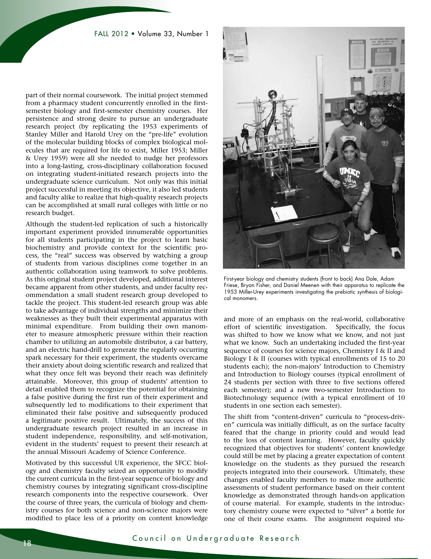part of their normal coursework. The initial project stemmed from a pharmacy student concurrently enrolled in the firstsemester biology and first-semester chemistry courses. Her persistence and strong desire to pursue an undergraduate research project (by replicating the 1953 experiments of Stanley Miller and Harold Urey on the "pre-life" evolution of the molecular building blocks of complex biological molecules that are required for life to exist, Miller 1953; Miller & Urey 1959) were all she needed to nudge her professors into a long-lasting, cross-disciplinary collaboration focused on integrating student-initiated research projects into the undergraduate science curriculum. Not only was this initial project successful in meeting its objective, it also led students and faculty alike to realize that high-quality research projects can be accomplished at small rural colleges with little or no research budget.

Although the student-led replication of such a historically important experiment provided innumerable opportunities for all students participating in the project to learn basic biochemistry and provide context for the scientific process, the "real" success was observed by watching a group of students from various disciplines come together in an authentic collaboration using teamwork to solve problems. As this original student project developed, additional interest became apparent from other students, and under faculty recommendation a small student research group developed to tackle the project. This student-led research group was able to take advantage of individual strengths and minimize their weaknesses as they built their experimental apparatus with minimal expenditure. From building their own manometer to measure atmospheric pressure within their reaction chamber to utilizing an automobile distributor, a car battery, and an electric hand-drill to generate the regularly occurring spark necessary for their experiment, the students overcame their anxiety about doing scientific research and realized that what they once felt was beyond their reach was definitely attainable. Moreover, this group of students' attention to detail enabled them to recognize the potential for obtaining a false positive during the first run of their experiment and subsequently led to modifications to their experiment that eliminated their false positive and subsequently produced a legitimate positive result. Ultimately, the success of this undergraduate research project resulted in an increase in student independence, responsibility, and self-motivation, evident in the students' request to present their research at the annual Missouri Academy of Science Conference.

Motivated by this successful UR experience, the SFCC biology and chemistry faculty seized an opportunity to modify the current curricula in the first-year sequence of biology and chemistry courses by integrating significant cross-discipline research components into the respective coursework. Over the course of three years, the curricula of biology and chemistry courses for both science and non-science majors were modified to place less of a priority on content knowledge



First-year biology and chemistry students (front to back) Ana Dale, Adam Friese, Bryan Fisher, and Daniel Meenen with their apparatus to replicate the 1953 Miller-Urey experiments investigating the prebiotic synthesis of biological monomers.

and more of an emphasis on the real-world, collaborative effort of scientific investigation. Specifically, the focus was shifted to how we know what we know, and not just what we know. Such an undertaking included the first-year sequence of courses for science majors, Chemistry I & II and Biology I & II (courses with typical enrollments of 15 to 20 students each); the non-majors' Introduction to Chemistry and Introduction to Biology courses (typical enrollment of 24 students per section with three to five sections offered each semester); and a new two-semester Introduction to Biotechnology sequence (with a typical enrollment of 10 students in one section each semester).

The shift from "content-driven" curricula to "process-driven" curricula was initially difficult, as on the surface faculty feared that the change in priority could and would lead to the loss of content learning. However, faculty quickly recognized that objectives for students' content knowledge could still be met by placing a greater expectation of content knowledge on the students as they pursued the research projects integrated into their coursework. Ultimately, these changes enabled faculty members to make more authentic assessments of student performance based on their content knowledge as demonstrated through hands-on application of course material. For example, students in the introductory chemistry course were expected to "silver" a bottle for one of their course exams. The assignment required stu-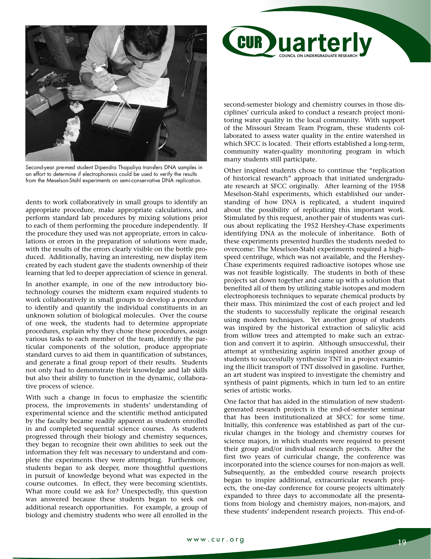

Second-year pre-med student Dipendra Thapaliya transfers DNA samples in an effort to determine if electrophoresis could be used to verify the results from the Meselson-Stahl experiments on semi-conservative DNA replication.

dents to work collaboratively in small groups to identify an appropriate procedure, make appropriate calculations, and perform standard lab procedures by mixing solutions prior to each of them performing the procedure independently. If the procedure they used was not appropriate, errors in calculations or errors in the preparation of solutions were made, with the results of the errors clearly visible on the bottle produced. Additionally, having an interesting, new display item created by each student gave the students ownership of their learning that led to deeper appreciation of science in general.

In another example, in one of the new introductory biotechnology courses the midterm exam required students to work collaboratively in small groups to develop a procedure to identify and quantify the individual constituents in an unknown solution of biological molecules. Over the course of one week, the students had to determine appropriate procedures, explain why they chose these procedures, assign various tasks to each member of the team, identify the particular components of the solution, produce appropriate standard curves to aid them in quantification of substances, and generate a final group report of their results. Students not only had to demonstrate their knowledge and lab skills but also their ability to function in the dynamic, collaborative process of science.

With such a change in focus to emphasize the scientific process, the improvements in students' understanding of experimental science and the scientific method anticipated by the faculty became readily apparent as students enrolled in and completed sequential science courses. As students progressed through their biology and chemistry sequences, they began to recognize their own abilities to seek out the information they felt was necessary to understand and complete the experiments they were attempting. Furthermore, students began to ask deeper, more thoughtful questions in pursuit of knowledge beyond what was expected in the course outcomes. In effect, they were becoming scientists. What more could we ask for? Unexpectedly, this question was answered because these students began to seek out additional research opportunities. For example, a group of biology and chemistry students who were all enrolled in the



second-semester biology and chemistry courses in those disciplines' curricula asked to conduct a research project monitoring water quality in the local community. With support of the Missouri Stream Team Program, these students collaborated to assess water quality in the entire watershed in which SFCC is located. Their efforts established a long-term, community water-quality monitoring program in which many students still participate.

Other inspired students chose to continue the "replication of historical research" approach that initiated undergraduate research at SFCC originally. After learning of the 1958 Meselson-Stahl experiments, which established our understanding of how DNA is replicated, a student inquired about the possibility of replicating this important work. Stimulated by this request, another pair of students was curious about replicating the 1952 Hershey-Chase experiments identifying DNA as the molecule of inheritance. Both of these experiments presented hurdles the students needed to overcome: The Meselson-Stahl experiments required a highspeed centrifuge, which was not available, and the Hershey-Chase experiments required radioactive isotopes whose use was not feasible logistically. The students in both of these projects sat down together and came up with a solution that benefited all of them by utilizing stable isotopes and modern electrophoresis techniques to separate chemical products by their mass. This minimized the cost of each project and led the students to successfully replicate the original research using modern techniques. Yet another group of students was inspired by the historical extraction of salicylic acid from willow trees and attempted to make such an extraction and convert it to aspirin. Although unsuccessful, their attempt at synthesizing aspirin inspired another group of students to successfully synthesize TNT in a project examining the illicit transport of TNT dissolved in gasoline. Further, an art student was inspired to investigate the chemistry and synthesis of paint pigments, which in turn led to an entire series of artistic works.

One factor that has aided in the stimulation of new studentgenerated research projects is the end-of-semester seminar that has been institutionalized at SFCC for some time. Initially, this conference was established as part of the curricular changes in the biology and chemistry courses for science majors, in which students were required to present their group and/or individual research projects. After the first two years of curricular change, the conference was incorporated into the science courses for non-majors as well. Subsequently, as the embedded course research projects began to inspire additional, extracurricular research projects, the one-day conference for course projects ultimately expanded to three days to accommodate all the presentations from biology and chemistry majors, non-majors, and these students' independent research projects. This end-of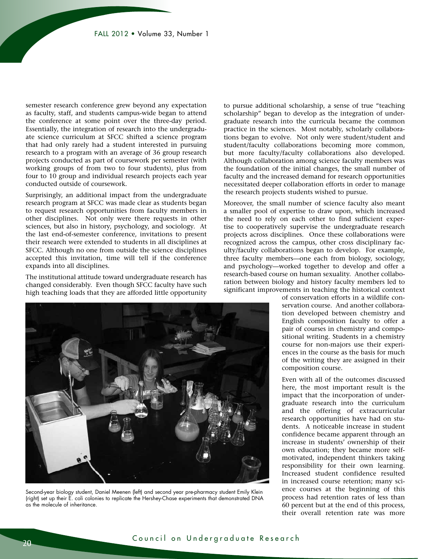semester research conference grew beyond any expectation as faculty, staff, and students campus-wide began to attend the conference at some point over the three-day period. Essentially, the integration of research into the undergraduate science curriculum at SFCC shifted a science program that had only rarely had a student interested in pursuing research to a program with an average of 36 group research projects conducted as part of coursework per semester (with working groups of from two to four students), plus from four to 10 group and individual research projects each year conducted outside of coursework.

Surprisingly, an additional impact from the undergraduate research program at SFCC was made clear as students began to request research opportunities from faculty members in other disciplines. Not only were there requests in other sciences, but also in history, psychology, and sociology. At the last end-of-semester conference, invitations to present their research were extended to students in all disciplines at SFCC. Although no one from outside the science disciplines accepted this invitation, time will tell if the conference expands into all disciplines.

The institutional attitude toward undergraduate research has changed considerably. Even though SFCC faculty have such high teaching loads that they are afforded little opportunity to pursue additional scholarship, a sense of true "teaching scholarship" began to develop as the integration of undergraduate research into the curricula became the common practice in the sciences. Most notably, scholarly collaborations began to evolve. Not only were student/student and student/faculty collaborations becoming more common, but more faculty/faculty collaborations also developed. Although collaboration among science faculty members was the foundation of the initial changes, the small number of faculty and the increased demand for research opportunities necessitated deeper collaboration efforts in order to manage the research projects students wished to pursue.

Moreover, the small number of science faculty also meant a smaller pool of expertise to draw upon, which increased the need to rely on each other to find sufficient expertise to cooperatively supervise the undergraduate research projects across disciplines. Once these collaborations were recognized across the campus, other cross disciplinary faculty/faculty collaborations began to develop. For example, three faculty members—one each from biology, sociology, and psychology—worked together to develop and offer a research-based course on human sexuality. Another collaboration between biology and history faculty members led to significant improvements in teaching the historical context

of conservation efforts in a wildlife conservation course. And another collaboration developed between chemistry and English composition faculty to offer a pair of courses in chemistry and compositional writing. Students in a chemistry course for non-majors use their experiences in the course as the basis for much of the writing they are assigned in their composition course.

Even with all of the outcomes discussed here, the most important result is the impact that the incorporation of undergraduate research into the curriculum and the offering of extracurricular research opportunities have had on students. A noticeable increase in student confidence became apparent through an increase in students' ownership of their own education; they became more selfmotivated, independent thinkers taking responsibility for their own learning. Increased student confidence resulted in increased course retention; many science courses at the beginning of this process had retention rates of less than 60 percent but at the end of this process, their overall retention rate was more